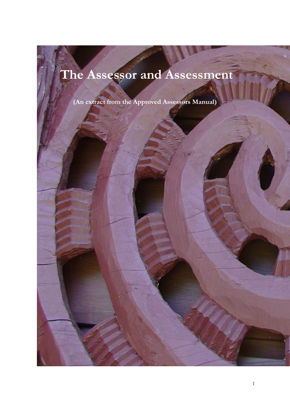# **The Assessor and Assessment**

**(An extract from the Approved Assessors Manual)**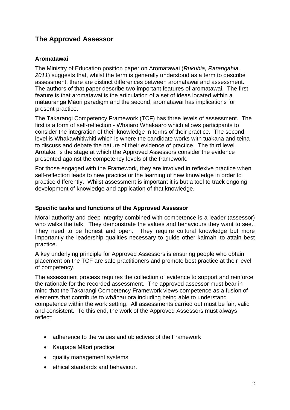## **The Approved Assessor**

### **Aromatawai**

The Ministry of Education position paper on Aromatawai (*Rukuhia, Rarangahia, 2011*) suggests that, whilst the term is generally understood as a term to describe assessment, there are distinct differences between aromatawai and assessment. The authors of that paper describe two important features of aromatawai. The first feature is that aromatawai is the articulation of a set of ideas located within a mātauranga Māori paradigm and the second; aromatawai has implications for present practice.

The Takarangi Competency Framework (TCF) has three levels of assessment. The first is a form of self-reflection - Whaiaro Whakaaro which allows participants to consider the integration of their knowledge in terms of their practice. The second level is Whakawhitiwhiti which is where the candidate works with tuakana and teina to discuss and debate the nature of their evidence of practice. The third level Arotake, is the stage at which the Approved Assessors consider the evidence presented against the competency levels of the framework.

For those engaged with the Framework, they are involved in reflexive practice when self-reflection leads to new practice or the learning of new knowledge in order to practice differently. Whilst assessment is important it is but a tool to track ongoing development of knowledge and application of that knowledge.

#### **Specific tasks and functions of the Approved Assessor**

Moral authority and deep integrity combined with competence is a leader (assessor) who walks the talk. They demonstrate the values and behaviours they want to see.. They need to be honest and open. They require cultural knowledge but more importantly the leadership qualities necessary to guide other kaimahi to attain best practice.

A key underlying principle for Approved Assessors is ensuring people who obtain placement on the TCF are safe practitioners and promote best practice at their level of competency.

The assessment process requires the collection of evidence to support and reinforce the rationale for the recorded assessment. The approved assessor must bear in mind that the Takarangi Competency Framework views competence as a fusion of elements that contribute to whānau ora including being able to understand competence within the work setting. All assessments carried out must be fair, valid and consistent. To this end, the work of the Approved Assessors must always reflect:

- adherence to the values and objectives of the Framework
- Kaupapa Māori practice
- quality management systems
- ethical standards and behaviour.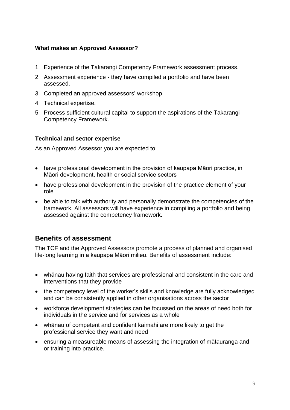## **What makes an Approved Assessor?**

- 1. Experience of the Takarangi Competency Framework assessment process.
- 2. Assessment experience they have compiled a portfolio and have been assessed.
- 3. Completed an approved assessors' workshop.
- 4. Technical expertise.
- 5. Process sufficient cultural capital to support the aspirations of the Takarangi Competency Framework.

## **Technical and sector expertise**

As an Approved Assessor you are expected to:

- have professional development in the provision of kaupapa Māori practice, in Māori development, health or social service sectors
- have professional development in the provision of the practice element of your role
- be able to talk with authority and personally demonstrate the competencies of the framework. All assessors will have experience in compiling a portfolio and being assessed against the competency framework.

## **Benefits of assessment**

The TCF and the Approved Assessors promote a process of planned and organised life-long learning in a kaupapa Māori milieu. Benefits of assessment include:

- whānau having faith that services are professional and consistent in the care and interventions that they provide
- the competency level of the worker's skills and knowledge are fully acknowledged and can be consistently applied in other organisations across the sector
- workforce development strategies can be focussed on the areas of need both for individuals in the service and for services as a whole
- whānau of competent and confident kaimahi are more likely to get the professional service they want and need
- ensuring a measureable means of assessing the integration of mātauranga and or training into practice.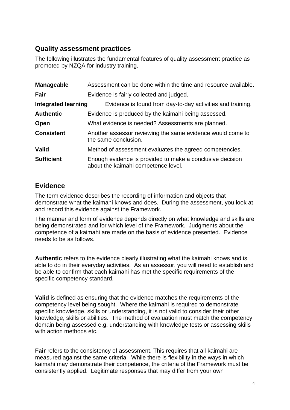## **Quality assessment practices**

The following illustrates the fundamental features of quality assessment practice as promoted by NZQA for industry training.

| <b>Manageable</b>          | Assessment can be done within the time and resource available.                                   |
|----------------------------|--------------------------------------------------------------------------------------------------|
| Fair                       | Evidence is fairly collected and judged.                                                         |
| <b>Integrated learning</b> | Evidence is found from day-to-day activities and training.                                       |
| <b>Authentic</b>           | Evidence is produced by the kaimahi being assessed.                                              |
| Open                       | What evidence is needed? Assessments are planned.                                                |
| <b>Consistent</b>          | Another assessor reviewing the same evidence would come to<br>the same conclusion.               |
| <b>Valid</b>               | Method of assessment evaluates the agreed competencies.                                          |
| <b>Sufficient</b>          | Enough evidence is provided to make a conclusive decision<br>about the kaimahi competence level. |

## **Evidence**

The term evidence describes the recording of information and objects that demonstrate what the kaimahi knows and does. During the assessment, you look at and record this evidence against the Framework.

The manner and form of evidence depends directly on what knowledge and skills are being demonstrated and for which level of the Framework. Judgments about the competence of a kaimahi are made on the basis of evidence presented. Evidence needs to be as follows.

**Authentic** refers to the evidence clearly illustrating what the kaimahi knows and is able to do in their everyday activities. As an assessor, you will need to establish and be able to confirm that each kaimahi has met the specific requirements of the specific competency standard.

**Valid** is defined as ensuring that the evidence matches the requirements of the competency level being sought. Where the kaimahi is required to demonstrate specific knowledge, skills or understanding, it is not valid to consider their other knowledge, skills or abilities. The method of evaluation must match the competency domain being assessed e.g. understanding with knowledge tests or assessing skills with action methods etc.

**Fair** refers to the consistency of assessment. This requires that all kaimahi are measured against the same criteria. While there is flexibility in the ways in which kaimahi may demonstrate their competence, the criteria of the Framework must be consistently applied. Legitimate responses that may differ from your own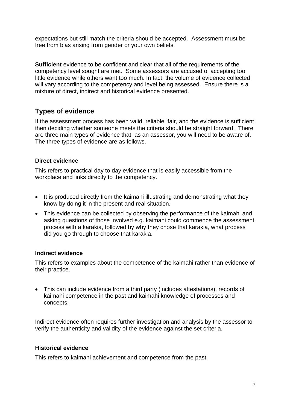expectations but still match the criteria should be accepted. Assessment must be free from bias arising from gender or your own beliefs.

**Sufficient** evidence to be confident and clear that all of the requirements of the competency level sought are met. Some assessors are accused of accepting too little evidence while others want too much. In fact, the volume of evidence collected will vary according to the competency and level being assessed. Ensure there is a mixture of direct, indirect and historical evidence presented.

## **Types of evidence**

If the assessment process has been valid, reliable, fair, and the evidence is sufficient then deciding whether someone meets the criteria should be straight forward. There are three main types of evidence that, as an assessor, you will need to be aware of. The three types of evidence are as follows.

## **Direct evidence**

This refers to practical day to day evidence that is easily accessible from the workplace and links directly to the competency.

- It is produced directly from the kaimahi illustrating and demonstrating what they know by doing it in the present and real situation.
- This evidence can be collected by observing the performance of the kaimahi and asking questions of those involved e.g. kaimahi could commence the assessment process with a karakia, followed by why they chose that karakia, what process did you go through to choose that karakia.

## **Indirect evidence**

This refers to examples about the competence of the kaimahi rather than evidence of their practice.

 This can include evidence from a third party (includes attestations), records of kaimahi competence in the past and kaimahi knowledge of processes and concepts.

Indirect evidence often requires further investigation and analysis by the assessor to verify the authenticity and validity of the evidence against the set criteria.

## **Historical evidence**

This refers to kaimahi achievement and competence from the past.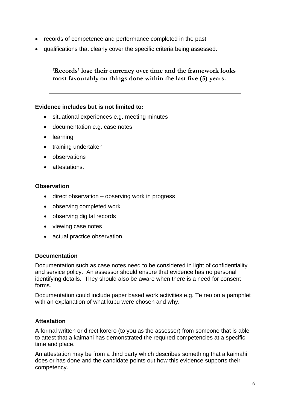- records of competence and performance completed in the past
- qualifications that clearly cover the specific criteria being assessed.

**'Records' lose their currency over time and the framework looks most favourably on things done within the last five (5) years.**

## **Evidence includes but is not limited to:**

- situational experiences e.g. meeting minutes
- documentation e.g. case notes
- learning
- training undertaken
- observations
- attestations.

#### **Observation**

- direct observation observing work in progress
- observing completed work
- observing digital records
- viewing case notes
- actual practice observation.

#### **Documentation**

Documentation such as case notes need to be considered in light of confidentiality and service policy. An assessor should ensure that evidence has no personal identifying details. They should also be aware when there is a need for consent forms.

Documentation could include paper based work activities e.g. Te reo on a pamphlet with an explanation of what kupu were chosen and why.

## **Attestation**

A formal written or direct korero (to you as the assessor) from someone that is able to attest that a kaimahi has demonstrated the required competencies at a specific time and place.

An attestation may be from a third party which describes something that a kaimahi does or has done and the candidate points out how this evidence supports their competency.